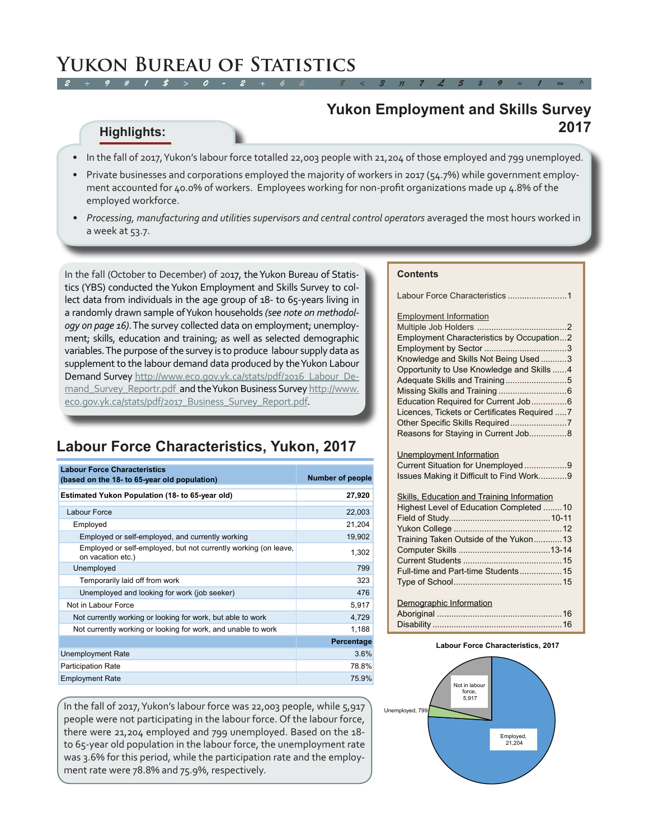### **Yukon Employment and Skills Survey 2017**

### **Highlights:**

- • In the fall of 2017, Yukon's labour force totalled 22,003 people with 21,204 of those employed and 799 unemployed.
- Private businesses and corporations employed the majority of workers in 2017 (54.7%) while government employment accounted for 40.0% of workers. Employees working for non-profit organizations made up 4.8% of the employed workforce.
- *• Processing, manufacturing and utilities supervisors and central control operators* averaged the most hours worked in a week at 53.7.

In the fall (October to December) of 2017, the Yukon Bureau of Statistics (YBS) conducted the Yukon Employment and Skills Survey to collect data from individuals in the age group of 18- to 65-years living in a randomly drawn sample of Yukon households *(see note on methodology on page 16)*. The survey collected data on employment; unemployment; skills, education and training; as well as selected demographic variables. The purpose of the survey is to produce labour supply data as supplement to the labour demand data produced by the Yukon Labour Demand Survey [http://www.eco.gov.yk.ca/stats/pdf/2016\\_Labour\\_De](http://www.eco.gov.yk.ca/stats/pdf/2016_Labour_Demand_Survey_Reportr.pdf)mand\_Survey\_Reportr.pdf\_and the Yukon Business Survey [http://www.](http://www.eco.gov.yk.ca/stats/pdf/2017_Business_Survey_Report.pdf) [eco.gov.yk.ca/stats/pdf/2017\\_Business\\_Survey\\_Report.pdf.](http://www.eco.gov.yk.ca/stats/pdf/2017_Business_Survey_Report.pdf)

## **Labour Force Characteristics, Yukon, 2017**

| <b>Labour Force Characteristics</b><br>(based on the 18- to 65-year old population)  | <b>Number of people</b> |
|--------------------------------------------------------------------------------------|-------------------------|
| Estimated Yukon Population (18- to 65-year old)                                      | 27,920                  |
| <b>Labour Force</b>                                                                  | 22,003                  |
| Employed                                                                             | 21,204                  |
| Employed or self-employed, and currently working                                     | 19,902                  |
| Employed or self-employed, but not currently working (on leave,<br>on vacation etc.) | 1,302                   |
| Unemployed                                                                           | 799                     |
| Temporarily laid off from work                                                       | 323                     |
| Unemployed and looking for work (job seeker)                                         | 476                     |
| Not in Labour Force                                                                  | 5,917                   |
| Not currently working or looking for work, but able to work                          | 4,729                   |
| Not currently working or looking for work, and unable to work                        | 1,188                   |
|                                                                                      | Percentage              |
| <b>Unemployment Rate</b>                                                             | 3.6%                    |
| <b>Participation Rate</b>                                                            | 78.8%                   |
| <b>Employment Rate</b>                                                               | 75.9%                   |

In the fall of 2017, Yukon's labour force was 22,003 people, while 5,917 people were not participating in the labour force. Of the labour force, there were 21,204 employed and 799 unemployed. Based on the 18 to 65-year old population in the labour force, the unemployment rate was 3.6% for this period, while the participation rate and the employment rate were 78.8% and 75.9%, respectively.

#### **Contents**

| Labour Force Characteristics 1                                                                                                                                                                                    |
|-------------------------------------------------------------------------------------------------------------------------------------------------------------------------------------------------------------------|
| <b>Employment Information</b><br>Employment Characteristics by Occupation2<br>Knowledge and Skills Not Being Used 3<br>Opportunity to Use Knowledge and Skills 4<br>Licences, Tickets or Certificates Required  7 |
| Reasons for Staying in Current Job 8                                                                                                                                                                              |

#### Unemployment Information pt Cituation for Une

| Issues Making it Difficult to Find Work9 |  |
|------------------------------------------|--|

### Skills, Education and Training Information

| Highest Level of Education Completed 10 |  |
|-----------------------------------------|--|
|                                         |  |
|                                         |  |
| Training Taken Outside of the Yukon 13  |  |
|                                         |  |
|                                         |  |
| Full-time and Part-time Students15      |  |
|                                         |  |
|                                         |  |

# Demographic Information

#### **Labour Force Characteristics, 2017**

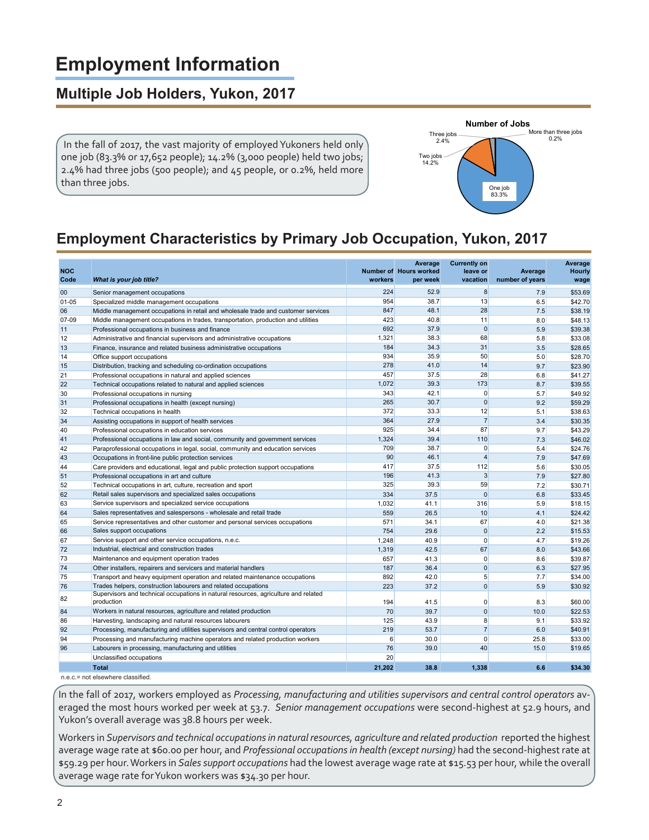# **Employment Information**

### **Multiple Job Holders, Yukon, 2017**

 In the fall of 2017, the vast majority of employed Yukoners held only one job (83.3% or 17,652 people); 14.2% (3,000 people) held two jobs; 2.4% had three jobs (500 people); and 45 people, or 0.2%, held more than three jobs.



# **Employment Characteristics by Primary Job Occupation, Yukon, 2017**

| <b>NOC</b><br>Code | What is your job title?                                                                           | workers | Average<br>Number of Hours worked<br>per week | <b>Currently on</b><br>leave or<br>vacation | Average<br>number of years | Average<br><b>Hourly</b><br>wage |
|--------------------|---------------------------------------------------------------------------------------------------|---------|-----------------------------------------------|---------------------------------------------|----------------------------|----------------------------------|
| 00                 | Senior management occupations                                                                     | 224     | 52.9                                          | $\overline{8}$                              | 7.9                        | \$53.69                          |
| $01 - 05$          | Specialized middle management occupations                                                         | 954     | 38.7                                          | 13                                          | 6.5                        | \$42.70                          |
| 06                 | Middle management occupations in retail and wholesale trade and customer services                 | 847     | 48.1                                          | 28                                          | 7.5                        | \$38.19                          |
| 07-09              | Middle management occupations in trades, transportation, production and utilities                 | 423     | 40.8                                          | 11                                          | 8.0                        | \$48.13                          |
| 11                 | Professional occupations in business and finance                                                  | 692     | 37.9                                          | $\Omega$                                    | 5.9                        | \$39.38                          |
| 12                 | Administrative and financial supervisors and administrative occupations                           | 1,321   | 38.3                                          | 68                                          | 5.8                        | \$33.08                          |
| 13                 | Finance, insurance and related business administrative occupations                                | 184     | 34.3                                          | 31                                          | 3.5                        | \$28.65                          |
| 14                 | Office support occupations                                                                        | 934     | 35.9                                          | 50                                          | 5.0                        | \$28.70                          |
| 15                 | Distribution, tracking and scheduling co-ordination occupations                                   | 278     | 41.0                                          | 14                                          | 9.7                        | \$23.90                          |
| 21                 | Professional occupations in natural and applied sciences                                          | 457     | 37.5                                          | 28                                          | 6.8                        | \$41.27                          |
| 22                 | Technical occupations related to natural and applied sciences                                     | 1,072   | 39.3                                          | 173                                         | 8.7                        | \$39.55                          |
| 30                 | Professional occupations in nursing                                                               | 343     | 42.1                                          | $\overline{0}$                              | 5.7                        | \$49.92                          |
| 31                 | Professional occupations in health (except nursing)                                               | 265     | 30.7                                          | $\overline{0}$                              | 9.2                        | \$59.29                          |
| 32                 | Technical occupations in health                                                                   | 372     | 33.3                                          | 12                                          | 5.1                        | \$38.63                          |
| 34                 | Assisting occupations in support of health services                                               | 364     | 27.9                                          | $\overline{7}$                              | 3.4                        | \$30.35                          |
| 40                 | Professional occupations in education services                                                    | 925     | 34.4                                          | 87                                          | 9.7                        | \$43.29                          |
| 41                 | Professional occupations in law and social, community and government services                     | 1,324   | 39.4                                          | 110                                         | 7.3                        | \$46.02                          |
| 42                 | Paraprofessional occupations in legal, social, community and education services                   | 709     | 38.7                                          | $\overline{0}$                              | 5.4                        | \$24.76                          |
| 43                 | Occupations in front-line public protection services                                              | 90      | 46.1                                          | $\overline{4}$                              | 7.9                        | \$47.69                          |
| 44                 | Care providers and educational, legal and public protection support occupations                   | 417     | 37.5                                          | 112                                         | 5.6                        | \$30.05                          |
| 51                 | Professional occupations in art and culture                                                       | 196     | 41.3                                          | 3                                           | 7.9                        | \$27.80                          |
| 52                 | Technical occupations in art, culture, recreation and sport                                       | 325     | 39.3                                          | 59                                          | 7.2                        | \$30.71                          |
| 62                 | Retail sales supervisors and specialized sales occupations                                        | 334     | 37.5                                          | $\Omega$                                    | 6.8                        | \$33.45                          |
| 63                 | Service supervisors and specialized service occupations                                           | 1,032   | 41.1                                          | 316                                         | 5.9                        | \$18.15                          |
| 64                 | Sales representatives and salespersons - wholesale and retail trade                               | 559     | 26.5                                          | 10                                          | 4.1                        | \$24.42                          |
| 65                 | Service representatives and other customer and personal services occupations                      | 571     | 34.1                                          | 67                                          | 4.0                        | \$21.38                          |
| 66                 | Sales support occupations                                                                         | 754     | 29.6                                          | $\overline{0}$                              | 2.2                        | \$15.53                          |
| 67                 | Service support and other service occupations, n.e.c.                                             | 1,248   | 40.9                                          | $\overline{0}$                              | 4.7                        | \$19.26                          |
| 72                 | Industrial, electrical and construction trades                                                    | 1,319   | 42.5                                          | 67                                          | 8.0                        | \$43.66                          |
| 73                 | Maintenance and equipment operation trades                                                        | 657     | 41.3                                          | $\overline{0}$                              | 8.6                        | \$39.87                          |
| 74                 | Other installers, repairers and servicers and material handlers                                   | 187     | 36.4                                          | $\overline{0}$                              | 6.3                        | \$27.95                          |
| 75                 | Transport and heavy equipment operation and related maintenance occupations                       | 892     | 42.0                                          | 5 <sub>5</sub>                              | 7.7                        | \$34.00                          |
| 76                 | Trades helpers, construction labourers and related occupations                                    | 223     | 37.2                                          | $\overline{0}$                              | 5.9                        | \$30.92                          |
| 82                 | Supervisors and technical occupations in natural resources, agriculture and related<br>production | 194     | 41.5                                          | $\overline{0}$                              | 8.3                        | \$60.00                          |
| 84                 | Workers in natural resources, agriculture and related production                                  | 70      | 39.7                                          | $\overline{0}$                              | 10.0                       | \$22.53                          |
| 86                 | Harvesting, landscaping and natural resources labourers                                           | 125     | 43.9                                          | 8                                           | 9.1                        | \$33.92                          |
| 92                 | Processing, manufacturing and utilities supervisors and central control operators                 | 219     | 53.7                                          | $\overline{7}$                              | 6.0                        | \$40.91                          |
| 94                 | Processing and manufacturing machine operators and related production workers                     | 6       | 30.0                                          | $\overline{0}$                              | 25.8                       | \$33.00                          |
| 96                 | Labourers in processing, manufacturing and utilities                                              | 76      | 39.0                                          | 40                                          | 15.0                       | \$19.65                          |
|                    | Unclassified occupations                                                                          | 20      |                                               |                                             |                            |                                  |
|                    | <b>Total</b><br>$-100 - 1$                                                                        | 21,202  | 38.8                                          | 1.338                                       | 6.6                        | \$34.30                          |

n.e.c.= not elsewhere classified.

In the fall of 2017, workers employed as *Processing, manufacturing and utilities supervisors and central control operators* averaged the most hours worked per week at 53.7. *Senior management occupations* were second-highest at 52.9 hours, and Yukon's overall average was 38.8 hours per week.

Workers in *Supervisors and technical occupations in natural resources, agriculture and related production* reported the highest average wage rate at \$60.00 per hour, and *Professional occupations in health (except nursing)* had the second-highest rate at \$59.29 per hour. Workers in *Sales support occupations* had the lowest average wage rate at \$15.53 per hour, while the overall average wage rate for Yukon workers was \$34.30 per hour.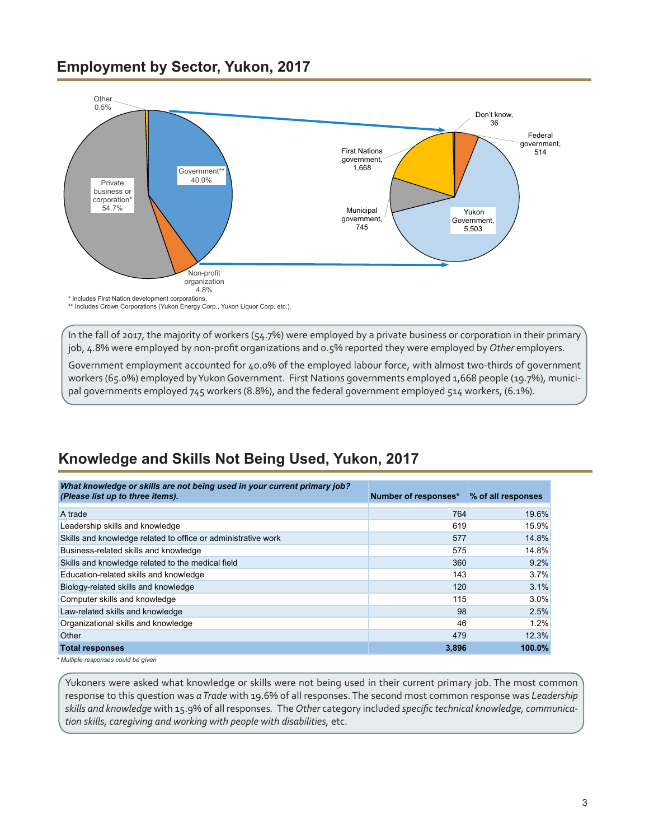### <span id="page-2-0"></span>**Employment by Sector, Yukon, 2017**



In the fall of 2017, the majority of workers (54.7%) were employed by a private business or corporation in their primary job, 4.8% were employed by non-profit organizations and 0.5% reported they were employed by *Other* employers.

Government employment accounted for 40.0% of the employed labour force, with almost two-thirds of government workers (65.0%) employed by Yukon Government. First Nations governments employed 1,668 people (19.7%), municipal governments employed 745 workers (8.8%), and the federal government employed 514 workers, (6.1%).

# **Knowledge and Skills Not Being Used, Yukon, 2017**

| What knowledge or skills are not being used in your current primary job?<br>(Please list up to three items). | Number of responses* | % of all responses |
|--------------------------------------------------------------------------------------------------------------|----------------------|--------------------|
| A trade                                                                                                      | 764                  | 19.6%              |
| Leadership skills and knowledge                                                                              | 619                  | 15.9%              |
| Skills and knowledge related to office or administrative work                                                | 577                  | 14.8%              |
| Business-related skills and knowledge                                                                        | 575                  | 14.8%              |
| Skills and knowledge related to the medical field                                                            | 360                  | 9.2%               |
| Education-related skills and knowledge                                                                       | 143                  | 3.7%               |
| Biology-related skills and knowledge                                                                         | 120                  | 3.1%               |
| Computer skills and knowledge                                                                                | 115                  | 3.0%               |
| Law-related skills and knowledge                                                                             | 98                   | 2.5%               |
| Organizational skills and knowledge                                                                          | 46                   | 1.2%               |
| Other                                                                                                        | 479                  | 12.3%              |
| <b>Total responses</b>                                                                                       | 3,896                | 100.0%             |
| * Multiple responses could be given                                                                          |                      |                    |

Yukoners were asked what knowledge or skills were not being used in their current primary job. The most common response to this question was *a Trade* with 19.6% of all responses. The second most common response was *Leadership skills and knowledge* with 15.9% of all responses*.* The *Other* category included *specific technical knowledge, communication skills, caregiving and working with people with disabilities,* etc.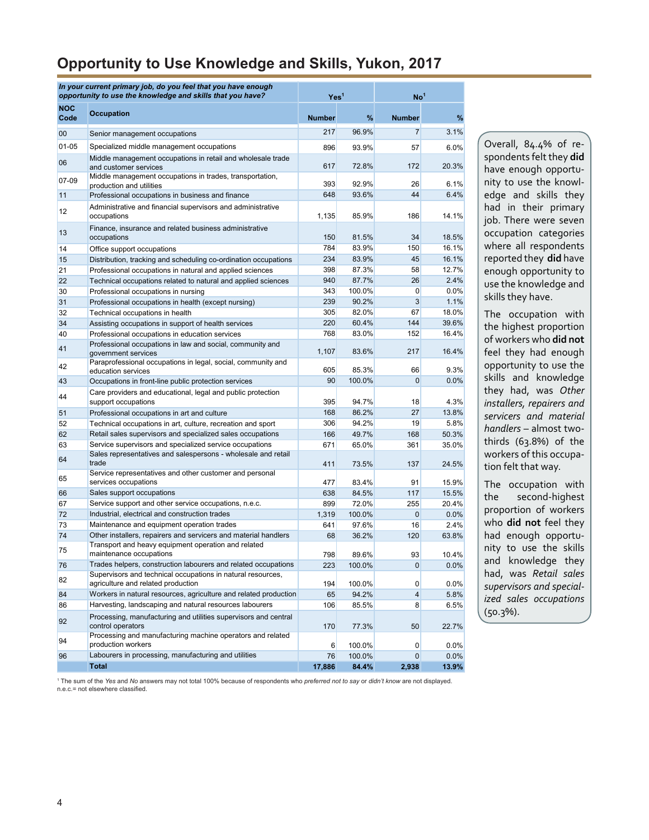### **Opportunity to Use Knowledge and Skills, Yukon, 2017**

|                    | In your current primary job, do you feel that you have enough<br>opportunity to use the knowledge and skills that you have?<br>Yes <sup>1</sup> |               |                 | No <sup>1</sup>                |                |
|--------------------|-------------------------------------------------------------------------------------------------------------------------------------------------|---------------|-----------------|--------------------------------|----------------|
| <b>NOC</b><br>Code | <b>Occupation</b>                                                                                                                               | <b>Number</b> | %               | <b>Number</b>                  | %              |
| $00\,$             | Senior management occupations                                                                                                                   | 217           | 96.9%           | 7                              | 3.1%           |
| $01 - 05$          | Specialized middle management occupations                                                                                                       | 896           | 93.9%           | 57                             | 6.0%           |
| 06                 | Middle management occupations in retail and wholesale trade<br>and customer services                                                            | 617           | 72.8%           | 172                            | 20.3%          |
| 07-09              | Middle management occupations in trades, transportation,                                                                                        |               |                 |                                | 6.1%           |
| 11                 | production and utilities<br>Professional occupations in business and finance                                                                    | 393<br>648    | 92.9%<br>93.6%  | 26<br>44                       | 6.4%           |
|                    | Administrative and financial supervisors and administrative                                                                                     |               |                 |                                |                |
| 12                 | occupations                                                                                                                                     | 1,135         | 85.9%           | 186                            | 14.1%          |
| 13                 | Finance, insurance and related business administrative<br>occupations                                                                           | 150           | 81.5%           | 34                             | 18.5%          |
| 14                 | Office support occupations                                                                                                                      | 784           | 83.9%           | 150                            | 16.1%          |
| 15                 | Distribution, tracking and scheduling co-ordination occupations                                                                                 | 234           | 83.9%           | 45                             | 16.1%          |
| 21                 | Professional occupations in natural and applied sciences                                                                                        | 398           | 87.3%           | 58                             | 12.7%          |
| 22                 | Technical occupations related to natural and applied sciences                                                                                   | 940           | 87.7%<br>100.0% | 26                             | 2.4%           |
| 30                 | Professional occupations in nursing                                                                                                             | 343<br>239    | 90.2%           | $\mathbf{0}$<br>$\overline{3}$ | 0.0%<br>1.1%   |
| 31<br>32           | Professional occupations in health (except nursing)<br>Technical occupations in health                                                          | 305           | 82.0%           | 67                             | 18.0%          |
| 34                 | Assisting occupations in support of health services                                                                                             | 220           | 60.4%           | 144                            | 39.6%          |
| 40                 | Professional occupations in education services                                                                                                  | 768           | 83.0%           | 152                            | 16.4%          |
| 41                 | Professional occupations in law and social, community and<br>government services                                                                | 1,107         | 83.6%           | 217                            | 16.4%          |
| 42                 | Paraprofessional occupations in legal, social, community and<br>education services                                                              | 605           | 85.3%           | 66                             | 9.3%           |
| 43                 | Occupations in front-line public protection services                                                                                            | 90            | 100.0%          | $\Omega$                       | 0.0%           |
| 44                 | Care providers and educational, legal and public protection<br>support occupations                                                              | 395           | 94.7%           | 18                             | 4.3%           |
| 51                 | Professional occupations in art and culture                                                                                                     | 168           | 86.2%           | 27                             | 13.8%          |
| 52                 | Technical occupations in art, culture, recreation and sport                                                                                     | 306           | 94.2%           | 19                             | 5.8%           |
| 62                 | Retail sales supervisors and specialized sales occupations                                                                                      | 166           | 49.7%           | 168                            | 50.3%          |
| 63                 | Service supervisors and specialized service occupations                                                                                         | 671           | 65.0%           | 361                            | 35.0%          |
| 64                 | Sales representatives and salespersons - wholesale and retail<br>trade                                                                          | 411           | 73.5%           | 137                            | 24.5%          |
| 65                 | Service representatives and other customer and personal                                                                                         |               |                 |                                |                |
|                    | services occupations                                                                                                                            | 477           | 83.4%           | 91                             | 15.9%          |
| 66<br>67           | Sales support occupations<br>Service support and other service occupations, n.e.c.                                                              | 638<br>899    | 84.5%<br>72.0%  | 117<br>255                     | 15.5%<br>20.4% |
| 72                 | Industrial, electrical and construction trades                                                                                                  | 1,319         | 100.0%          | $\mathbf{0}$                   | 0.0%           |
| 73                 | Maintenance and equipment operation trades                                                                                                      | 641           | 97.6%           | 16                             | 2.4%           |
| 74                 | Other installers, repairers and servicers and material handlers                                                                                 | 68            | 36.2%           | 120                            | 63.8%          |
| 75                 | Transport and heavy equipment operation and related<br>maintenance occupations                                                                  | 798           | 89.6%           | 93                             | 10.4%          |
| 76                 | Trades helpers, construction labourers and related occupations                                                                                  | 223           | 100.0%          | $\overline{0}$                 | 0.0%           |
|                    | Supervisors and technical occupations in natural resources,                                                                                     |               |                 |                                |                |
| 82                 | agriculture and related production                                                                                                              | 194           | 100.0%          | $\overline{0}$                 | 0.0%           |
| 84                 | Workers in natural resources, agriculture and related production                                                                                | 65            | 94.2%           | $\overline{4}$                 | 5.8%           |
| 86                 | Harvesting, landscaping and natural resources labourers                                                                                         | 106           | 85.5%           | 8                              | 6.5%           |
| 92                 | Processing, manufacturing and utilities supervisors and central<br>control operators                                                            | 170           | 77.3%           | 50                             | 22.7%          |
| 94                 | Processing and manufacturing machine operators and related<br>production workers                                                                | 6             | 100.0%          | $\overline{0}$                 | 0.0%           |
| 96                 | Labourers in processing, manufacturing and utilities                                                                                            | 76            | 100.0%          | $\overline{0}$                 | 0.0%           |
|                    | <b>Total</b>                                                                                                                                    | 17,886        | 84.4%           | 2,938                          | 13.9%          |

Overall, 84.4% of respondents felt they **did** have enough opportunity to use the knowledge and skills they had in their primary job. There were seven occupation categories where all respondents reported they **did** have enough opportunity to use the knowledge and skills they have.

The occupation with the highest proportion of workers who **did not** feel they had enough opportunity to use the skills and knowledge they had, was *Other installers, repairers and servicers and material handlers* – almost twothirds (63.8%) of the workers of this occupation felt that way.

The occupation with the second-highest proportion of workers who **did not** feel they had enough opportunity to use the skills and knowledge they had, was *Retail sales supervisors and specialized sales occupations* (50.3%).

1 The sum of the *Yes* and *No* answers may not total 100% because of respondents who *preferred not to say* or *didn't know* are not displayed. n.e.c.= not elsewhere classified.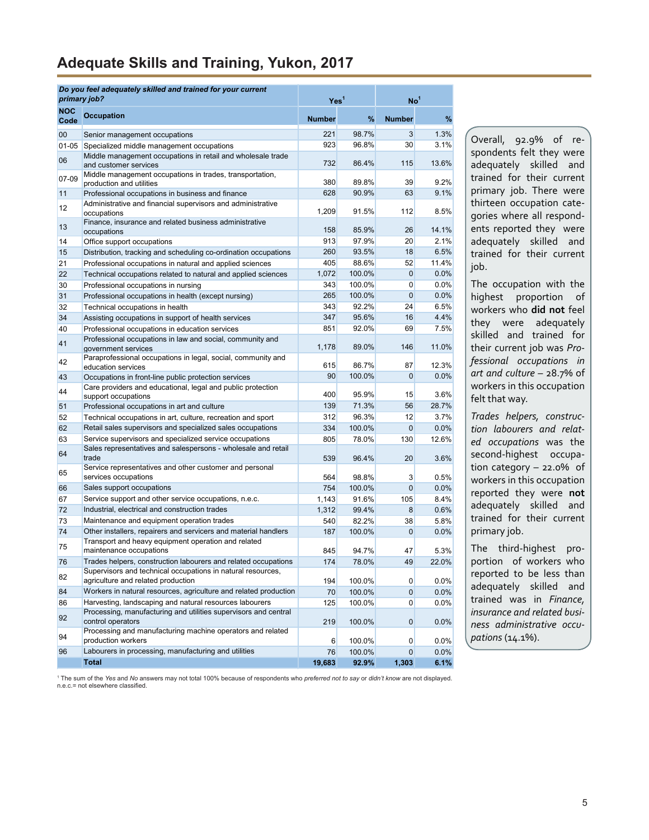# <span id="page-4-0"></span>**Adequate Skills and Training, Yukon, 2017**

| primary job?       | Do you feel adequately skilled and trained for your current                                                                | Yes <sup>1</sup> |                 | No <sup>1</sup> |                 |
|--------------------|----------------------------------------------------------------------------------------------------------------------------|------------------|-----------------|-----------------|-----------------|
| <b>NOC</b><br>Code | <b>Occupation</b>                                                                                                          | <b>Number</b>    | %               | <b>Number</b>   | $\%$            |
| 00                 | Senior management occupations                                                                                              | 221              | 98.7%           | 3               | 1.3%            |
| $01 - 05$          | Specialized middle management occupations                                                                                  | 923              | 96.8%           | 30              | 3.1%            |
| 06                 | Middle management occupations in retail and wholesale trade<br>and customer services                                       | 732              | 86.4%           | 115             | 13.6%           |
| 07-09              | Middle management occupations in trades, transportation,<br>production and utilities                                       | 380              | 89.8%           | 39              | 9.2%            |
| 11                 | Professional occupations in business and finance                                                                           | 628              | 90.9%           | 63              | 9.1%            |
| 12                 | Administrative and financial supervisors and administrative<br>occupations                                                 | 1,209            | 91.5%           | 112             | 8.5%            |
| 13                 | Finance, insurance and related business administrative<br>occupations                                                      | 158              | 85.9%           | 26              | 14.1%           |
| 14                 | Office support occupations                                                                                                 | 913              | 97.9%           | 20              | 2.1%            |
| 15                 | Distribution, tracking and scheduling co-ordination occupations                                                            | 260              | 93.5%           | 18              | 6.5%            |
| 21                 | Professional occupations in natural and applied sciences                                                                   | 405              | 88.6%           | 52              | 11.4%           |
| 22                 | Technical occupations related to natural and applied sciences                                                              | 1,072            | 100.0%          | 0               | 0.0%            |
| 30                 | Professional occupations in nursing                                                                                        | 343              | 100.0%          | 0               | 0.0%            |
| 31                 | Professional occupations in health (except nursing)                                                                        | 265              | 100.0%          | 0               | 0.0%            |
| 32                 | Technical occupations in health                                                                                            | 343              | 92.2%           | 24              | 6.5%            |
| 34                 | Assisting occupations in support of health services                                                                        | 347              | 95.6%           | 16              | 4.4%            |
| 40<br>41           | Professional occupations in education services<br>Professional occupations in law and social, community and                | 851<br>1,178     | 92.0%<br>89.0%  | 69<br>146       | 7.5%<br>11.0%   |
| 42                 | government services<br>Paraprofessional occupations in legal, social, community and<br>education services                  | 615              | 86.7%           | 87              | 12.3%           |
| 43                 | Occupations in front-line public protection services                                                                       | 90               | 100.0%          | 0               | 0.0%            |
| 44                 | Care providers and educational, legal and public protection<br>support occupations                                         | 400              | 95.9%           | 15              | 3.6%            |
| 51                 | Professional occupations in art and culture                                                                                | 139              | 71.3%           | 56              | 28.7%           |
| 52                 | Technical occupations in art, culture, recreation and sport                                                                | 312              | 96.3%           | 12              | 3.7%            |
| 62                 | Retail sales supervisors and specialized sales occupations                                                                 | 334              | 100.0%          | $\mathbf 0$     | 0.0%            |
| 63                 | Service supervisors and specialized service occupations                                                                    | 805              | 78.0%           | 130             | 12.6%           |
| 64                 | Sales representatives and salespersons - wholesale and retail<br>trade                                                     | 539              | 96.4%           | 20              | 3.6%            |
| 65                 | Service representatives and other customer and personal<br>services occupations                                            | 564              | 98.8%           | 3               | 0.5%            |
| 66                 | Sales support occupations                                                                                                  | 754              | 100.0%          | $\mathbf{0}$    | 0.0%            |
| 67                 | Service support and other service occupations, n.e.c.                                                                      | 1,143            | 91.6%           | 105             | 8.4%            |
| 72                 | Industrial, electrical and construction trades                                                                             | 1,312            | 99.4%           | 8               | 0.6%            |
| 73                 | Maintenance and equipment operation trades                                                                                 | 540              | 82.2%           | 38              | 5.8%            |
| 74                 | Other installers, repairers and servicers and material handlers                                                            | 187              | 100.0%          | $\mathbf 0$     | 0.0%            |
| 75                 | Transport and heavy equipment operation and related<br>maintenance occupations                                             | 845              | 94.7%           | 47              | 5.3%            |
| 76                 | Trades helpers, construction labourers and related occupations                                                             | 174              | 78.0%           | 49              | 22.0%           |
| 82                 | Supervisors and technical occupations in natural resources,<br>agriculture and related production                          | 194              | 100.0%          | $\mathbf{0}$    | 0.0%            |
| 84                 | Workers in natural resources, agriculture and related production                                                           | 70               | 100.0%          | $\mathbf{0}$    | 0.0%            |
| 86<br>92           | Harvesting, landscaping and natural resources labourers<br>Processing, manufacturing and utilities supervisors and central | 125              | 100.0%          | 0               | 0.0%            |
| 94                 | control operators<br>Processing and manufacturing machine operators and related                                            | 219              | 100.0%          | 0               | 0.0%            |
|                    | production workers                                                                                                         | 6                | 100.0%          | 0               | 0.0%            |
| 96                 | Labourers in processing, manufacturing and utilities<br><b>Total</b>                                                       | 76<br>19,683     | 100.0%<br>92.9% | 0<br>1,303      | $0.0\%$<br>6.1% |

Overall, 92.9% of respondents felt they were adequately skilled and trained for their current primary job. There were thirteen occupation categories where all respondents reported they were adequately skilled and trained for their current job.

The occupation with the highest proportion of workers who **did not** feel they were adequately skilled and trained for their current job was *Professional occupations in art and culture* – 28.7% of workers in this occupation felt that way.

*Trades helpers, construction labourers and related occupations* was the second-highest occupation category – 22.0% of workers in this occupation reported they were **not** adequately skilled and trained for their current primary job.

The third-highest proportion of workers who reported to be less than adequately skilled and trained was in *Finance, insurance and related business administrative occupations* (14.1%).

1 The sum of the *Yes* and *No* answers may not total 100% because of respondents who *preferred not to say* or *didn't know* are not displayed. n.e.c.= not elsewhere classified.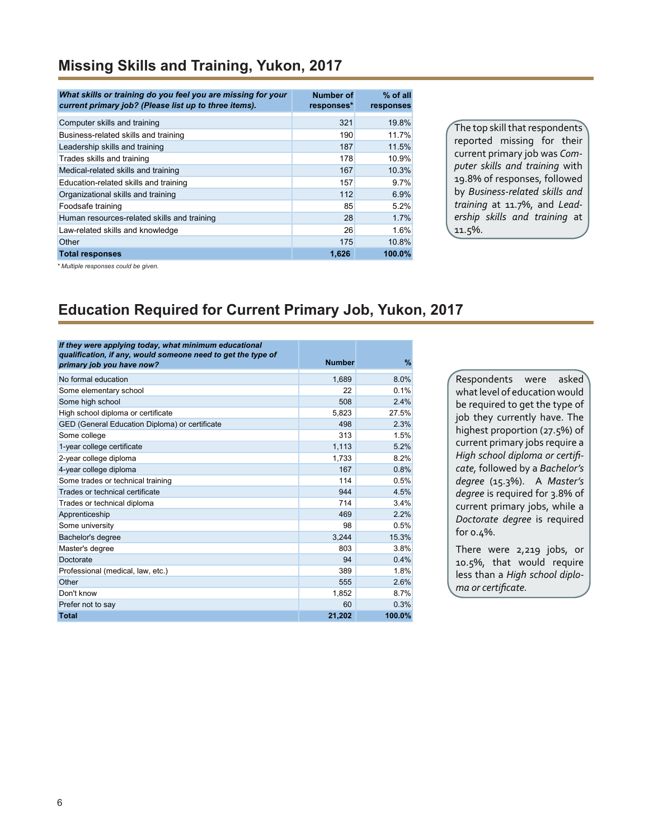### **Missing Skills and Training, Yukon, 2017**

| What skills or training do you feel you are missing for your<br>current primary job? (Please list up to three items). | Number of<br>responses* | $%$ of all<br>responses |
|-----------------------------------------------------------------------------------------------------------------------|-------------------------|-------------------------|
| Computer skills and training                                                                                          | 321                     | 19.8%                   |
| Business-related skills and training                                                                                  | 190                     | 11.7%                   |
| Leadership skills and training                                                                                        | 187                     | 11.5%                   |
| Trades skills and training                                                                                            | 178                     | 10.9%                   |
| Medical-related skills and training                                                                                   | 167                     | 10.3%                   |
| Education-related skills and training                                                                                 | 157                     | 9.7%                    |
| Organizational skills and training                                                                                    | 112                     | 6.9%                    |
| Foodsafe training                                                                                                     | 85                      | 5.2%                    |
| Human resources-related skills and training                                                                           | 28                      | 1.7%                    |
| Law-related skills and knowledge                                                                                      | 26                      | 1.6%                    |
| Other                                                                                                                 | 175                     | 10.8%                   |
| <b>Total responses</b>                                                                                                | 1,626                   | 100.0%                  |

The top skill that respondents reported missing for their current primary job was *Computer skills and training* with 19.8% of responses, followed by *Business-related skills and training* at 11.7%, and *Leadership skills and training* at 11.5%.

*\* Multiple responses could be given.*

## **Education Required for Current Primary Job, Yukon, 2017**

| If they were applying today, what minimum educational<br>qualification, if any, would someone need to get the type of | <b>Number</b> | %      |
|-----------------------------------------------------------------------------------------------------------------------|---------------|--------|
| primary job you have now?                                                                                             |               |        |
| No formal education                                                                                                   | 1,689         | 8.0%   |
| Some elementary school                                                                                                | 22            | 0.1%   |
| Some high school                                                                                                      | 508           | 2.4%   |
| High school diploma or certificate                                                                                    | 5,823         | 27.5%  |
| GED (General Education Diploma) or certificate                                                                        | 498           | 2.3%   |
| Some college                                                                                                          | 313           | 1.5%   |
| 1-year college certificate                                                                                            | 1,113         | 5.2%   |
| 2-year college diploma                                                                                                | 1,733         | 8.2%   |
| 4-year college diploma                                                                                                | 167           | 0.8%   |
| Some trades or technical training                                                                                     | 114           | 0.5%   |
| Trades or technical certificate                                                                                       | 944           | 4.5%   |
| Trades or technical diploma                                                                                           | 714           | 3.4%   |
| Apprenticeship                                                                                                        | 469           | 2.2%   |
| Some university                                                                                                       | 98            | 0.5%   |
| Bachelor's degree                                                                                                     | 3.244         | 15.3%  |
| Master's degree                                                                                                       | 803           | 3.8%   |
| Doctorate                                                                                                             | 94            | 0.4%   |
| Professional (medical, law, etc.)                                                                                     | 389           | 1.8%   |
| Other                                                                                                                 | 555           | 2.6%   |
| Don't know                                                                                                            | 1,852         | 8.7%   |
| Prefer not to say                                                                                                     | 60            | 0.3%   |
| <b>Total</b>                                                                                                          | 21,202        | 100.0% |

Respondents were asked what level of education would be required to get the type of job they currently have. The highest proportion (27.5%) of current primary jobs require a *High school diploma or certificate,* followed by a *Bachelor's degree* (15.3%). A *Master's degree* is required for 3.8% of current primary jobs, while a *Doctorate degree* is required for 0.4%.

There were 2,219 jobs, or 10.5%, that would require less than a *High school diploma or certificate.*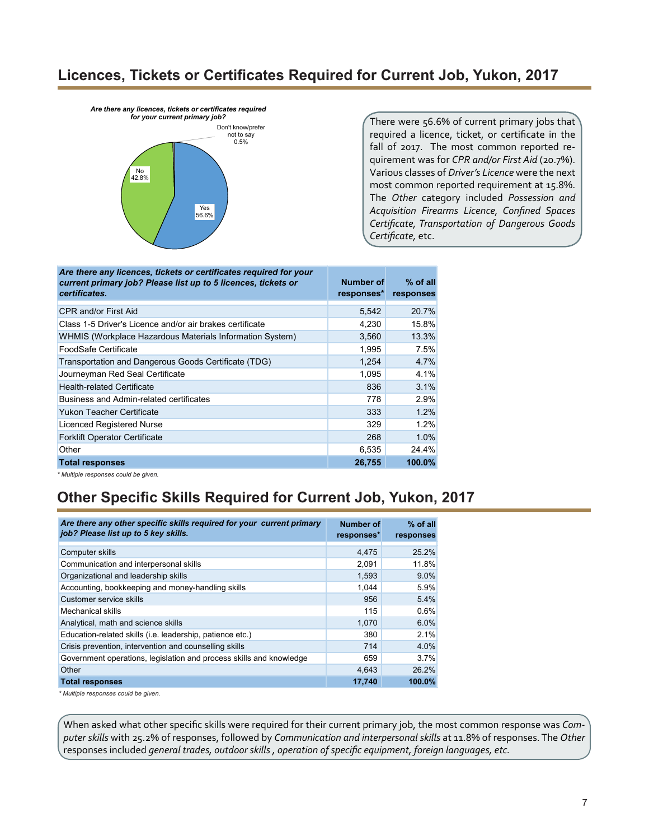### **Licences, Tickets or Certificates Required for Current Job, Yukon, 2017**

*Are there any licences, tickets or certificates required* 



There were 56.6% of current primary jobs that required a licence, ticket, or certificate in the fall of 2017. The most common reported requirement was for *CPR and/or First Aid* (20.7%). Various classes of *Driver's Licence* were the next most common reported requirement at 15.8%. The *Other* category included *Possession and Acquisition Firearms Licence, Confined Spaces Certificate, Transportation of Dangerous Goods Certificate,* etc.

| Are there any licences, tickets or certificates required for your<br>current primary job? Please list up to 5 licences, tickets or<br>certificates. | Number of<br>responses* | $%$ of all<br>responses |
|-----------------------------------------------------------------------------------------------------------------------------------------------------|-------------------------|-------------------------|
| CPR and/or First Aid                                                                                                                                | 5,542                   | 20.7%                   |
| Class 1-5 Driver's Licence and/or air brakes certificate                                                                                            | 4,230                   | 15.8%                   |
| WHMIS (Workplace Hazardous Materials Information System)                                                                                            | 3,560                   | 13.3%                   |
| FoodSafe Certificate                                                                                                                                | 1,995                   | 7.5%                    |
| Transportation and Dangerous Goods Certificate (TDG)                                                                                                | 1,254                   | 4.7%                    |
| Journeyman Red Seal Certificate                                                                                                                     | 1,095                   | 4.1%                    |
| <b>Health-related Certificate</b>                                                                                                                   | 836                     | 3.1%                    |
| Business and Admin-related certificates                                                                                                             | 778                     | 2.9%                    |
| <b>Yukon Teacher Certificate</b>                                                                                                                    | 333                     | 1.2%                    |
| Licenced Registered Nurse                                                                                                                           | 329                     | 1.2%                    |
| <b>Forklift Operator Certificate</b>                                                                                                                | 268                     | 1.0%                    |
| Other                                                                                                                                               | 6,535                   | 24.4%                   |
| <b>Total responses</b>                                                                                                                              | 26,755                  | 100.0%                  |

*\* Multiple responses could be given.*

# **Other Specific Skills Required for Current Job, Yukon, 2017**

| Are there any other specific skills required for your current primary<br>job? Please list up to 5 key skills. | Number of<br>responses* | $%$ of all<br>responses |
|---------------------------------------------------------------------------------------------------------------|-------------------------|-------------------------|
| Computer skills                                                                                               | 4.475                   | 25.2%                   |
| Communication and interpersonal skills                                                                        | 2,091                   | 11.8%                   |
| Organizational and leadership skills                                                                          | 1,593                   | $9.0\%$                 |
| Accounting, bookkeeping and money-handling skills                                                             | 1.044                   | 5.9%                    |
| Customer service skills                                                                                       | 956                     | 5.4%                    |
| <b>Mechanical skills</b>                                                                                      | 115                     | 0.6%                    |
| Analytical, math and science skills                                                                           | 1,070                   | 6.0%                    |
| Education-related skills (i.e. leadership, patience etc.)                                                     | 380                     | 2.1%                    |
| Crisis prevention, intervention and counselling skills                                                        | 714                     | 4.0%                    |
| Government operations, legislation and process skills and knowledge                                           | 659                     | 3.7%                    |
| Other                                                                                                         | 4,643                   | 26.2%                   |
| <b>Total responses</b>                                                                                        | 17,740                  | 100.0%                  |
| * Multiple reconcess could be diven                                                                           |                         |                         |

*\* Multiple responses could be given.*

When asked what other specific skills were required for their current primary job, the most common response was *Computer skills* with 25.2% of responses, followed by *Communication and interpersonal skills* at 11.8% of responses. The *Other* responses included *general trades, outdoor skills , operation of specific equipment, foreign languages, etc.*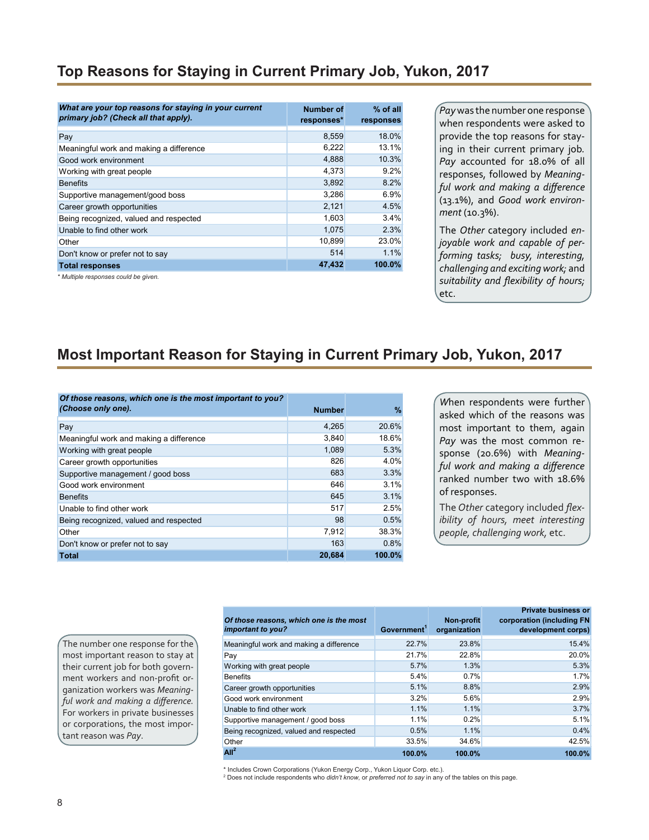## **Top Reasons for Staying in Current Primary Job, Yukon, 2017**

| What are your top reasons for staying in your current<br>primary job? (Check all that apply). | <b>Number of</b><br>responses* | $%$ of all<br>responses |
|-----------------------------------------------------------------------------------------------|--------------------------------|-------------------------|
| Pay                                                                                           | 8,559                          | 18.0%                   |
| Meaningful work and making a difference                                                       | 6,222                          | 13.1%                   |
| Good work environment                                                                         | 4,888                          | 10.3%                   |
| Working with great people                                                                     | 4,373                          | 9.2%                    |
| <b>Benefits</b>                                                                               | 3,892                          | 8.2%                    |
| Supportive management/good boss                                                               | 3,286                          | 6.9%                    |
| Career growth opportunities                                                                   | 2,121                          | 4.5%                    |
| Being recognized, valued and respected                                                        | 1,603                          | 3.4%                    |
| Unable to find other work                                                                     | 1,075                          | 2.3%                    |
| Other                                                                                         | 10,899                         | 23.0%                   |
| Don't know or prefer not to say                                                               | 514                            | 1.1%                    |
| <b>Total responses</b>                                                                        | 47,432                         | 100.0%                  |
| * Multiple responses could be given.                                                          |                                |                         |

*Pay* was the number one response when respondents were asked to provide the top reasons for staying in their current primary job*. Pay* accounted for 18.0% of all responses, followed by *Meaningful work and making a difference* (13.1%), and *Good work environment* (10.3%).

The *Other* category included *enjoyable work and capable of performing tasks; busy, interesting, challenging and exciting work;* and *suitability and flexibility of hours;* etc.

### **Most Important Reason for Staying in Current Primary Job, Yukon, 2017**

| Of those reasons, which one is the most important to you?<br>(Choose only one). |               |        |
|---------------------------------------------------------------------------------|---------------|--------|
|                                                                                 | <b>Number</b> | %      |
| Pay                                                                             | 4.265         | 20.6%  |
| Meaningful work and making a difference                                         | 3,840         | 18.6%  |
| Working with great people                                                       | 1,089         | 5.3%   |
| Career growth opportunities                                                     | 826           | 4.0%   |
| Supportive management / good boss                                               | 683           | 3.3%   |
| Good work environment                                                           | 646           | 3.1%   |
| <b>Benefits</b>                                                                 | 645           | 3.1%   |
| Unable to find other work                                                       | 517           | 2.5%   |
| Being recognized, valued and respected                                          | 98            | 0.5%   |
| Other                                                                           | 7,912         | 38.3%  |
| Don't know or prefer not to say                                                 | 163           | 0.8%   |
| Total                                                                           | 20.684        | 100.0% |

*W*hen respondents were further asked which of the reasons was most important to them, again *Pay* was the most common response (20.6%) with *Meaningful work and making a difference* ranked number two with 18.6% of responses.

The *Other* category included *flexibility of hours, meet interesting people, challenging work,* etc.

The number one response for the most important reason to stay at their current job for both government workers and non-profit organization workers was *Meaningful work and making a difference.* For workers in private businesses or corporations, the most important reason was *Pay*.

| Of those reasons, which one is the most<br>important to you? | Government <sup>1</sup> | Non-profit<br>organization | <b>Private business or</b><br>corporation (including FN<br>development corps) |
|--------------------------------------------------------------|-------------------------|----------------------------|-------------------------------------------------------------------------------|
| Meaningful work and making a difference                      | 22.7%                   | 23.8%                      | 15.4%                                                                         |
| Pay                                                          | 21.7%                   | 22.8%                      | 20.0%                                                                         |
| Working with great people                                    | 5.7%                    | 1.3%                       | 5.3%                                                                          |
| <b>Benefits</b>                                              | 5.4%                    | 0.7%                       | 1.7%                                                                          |
| Career growth opportunities                                  | 5.1%                    | 8.8%                       | 2.9%                                                                          |
| Good work environment                                        | 3.2%                    | 5.6%                       | 2.9%                                                                          |
| Unable to find other work                                    | 1.1%                    | 1.1%                       | 3.7%                                                                          |
| Supportive management / good boss                            | 1.1%                    | 0.2%                       | 5.1%                                                                          |
| Being recognized, valued and respected                       | 0.5%                    | 1.1%                       | 0.4%                                                                          |
| Other                                                        | 33.5%                   | 34.6%                      | 42.5%                                                                         |
| All <sup>2</sup>                                             | 100.0%                  | 100.0%                     | 100.0%                                                                        |

\* Includes Crown Corporations (Yukon Energy Corp., Yukon Liquor Corp. etc.).

2 Does not include respondents who *didn't know*, or *preferred not to say* in any of the tables on this page.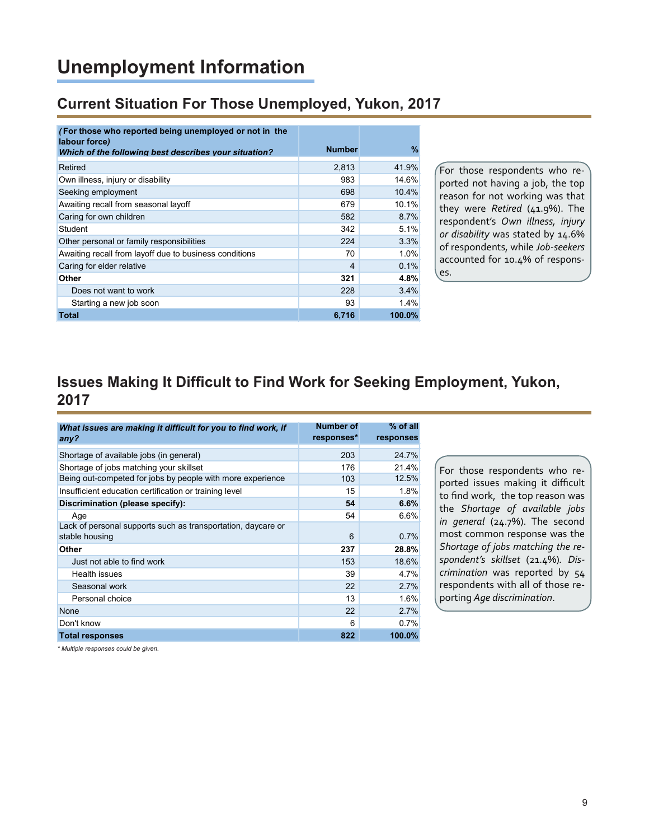# **Unemployment Information**

### **Current Situation For Those Unemployed, Yukon, 2017**

| <b>Number</b> | %      |
|---------------|--------|
| 2.813         | 41.9%  |
| 983           | 14.6%  |
| 698           | 10.4%  |
| 679           | 10.1%  |
| 582           | 8.7%   |
| 342           | 5.1%   |
| 224           | 3.3%   |
| 70            | 1.0%   |
| 4             | 0.1%   |
| 321           | 4.8%   |
| 228           | 3.4%   |
| 93            | 1.4%   |
| 6,716         | 100.0% |
|               |        |

For those respondents who reported not having a job, the top reason for not working was that they were *Retired* (41.9%). The respondent's *Own illness, injury or disability* was stated by 14.6% of respondents, while *Job-seekers* accounted for 10.4% of responses.

## **Issues Making It Difficult to Find Work for Seeking Employment, Yukon, 2017**

| What issues are making it difficult for you to find work, if<br>any?           | Number of<br>responses* | $%$ of all<br>responses |
|--------------------------------------------------------------------------------|-------------------------|-------------------------|
| Shortage of available jobs (in general)                                        | 203                     | 24.7%                   |
| Shortage of jobs matching your skillset                                        | 176                     | 21.4%                   |
| Being out-competed for jobs by people with more experience                     | 103                     | 12.5%                   |
| Insufficient education certification or training level                         | 15                      | 1.8%                    |
| Discrimination (please specify):                                               | 54                      | 6.6%                    |
| Age                                                                            | 54                      | 6.6%                    |
| Lack of personal supports such as transportation, daycare or<br>stable housing | 6                       | 0.7%                    |
| Other                                                                          | 237                     | 28.8%                   |
| Just not able to find work                                                     | 153                     | 18.6%                   |
| Health issues                                                                  | 39                      | 4.7%                    |
| Seasonal work                                                                  | 22                      | 2.7%                    |
| Personal choice                                                                | 13                      | 1.6%                    |
| None                                                                           | 22                      | 2.7%                    |
| Don't know                                                                     | 6                       | 0.7%                    |
| <b>Total responses</b>                                                         | 822                     | 100.0%                  |

For those respondents who reported issues making it difficult to find work, the top reason was the *Shortage of available jobs in general* (24.7%). The second most common response was the *Shortage of jobs matching the respondent's skillset* (21.4%)*. Discrimination* was reported by 54 respondents with all of those reporting *Age discrimination*.

*\* Multiple responses could be given.*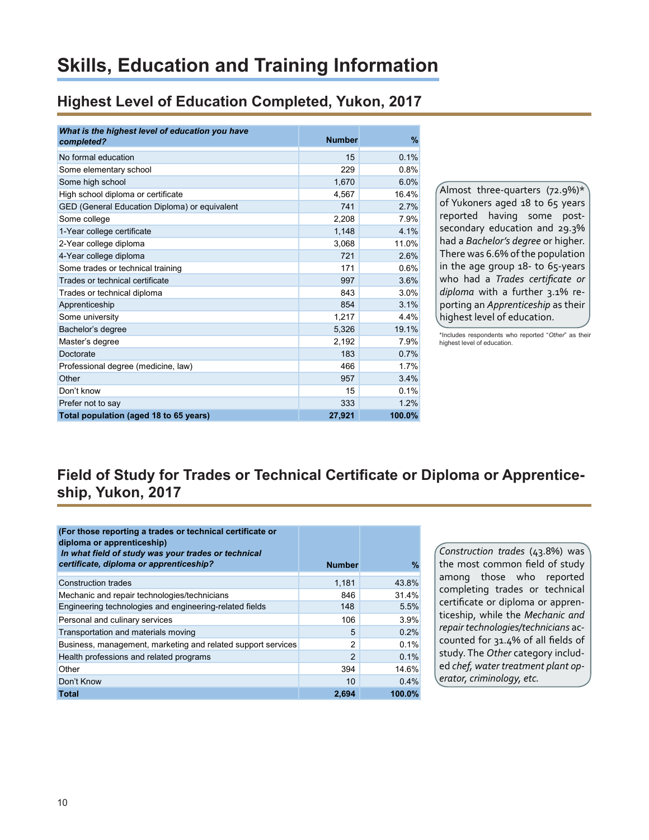# **Skills, Education and Training Information**

## **Highest Level of Education Completed, Yukon, 2017**

| What is the highest level of education you have<br>completed? | <b>Number</b> | %      |
|---------------------------------------------------------------|---------------|--------|
| No formal education                                           | 15            | 0.1%   |
| Some elementary school                                        | 229           | 0.8%   |
| Some high school                                              | 1.670         | 6.0%   |
| High school diploma or certificate                            | 4,567         | 16.4%  |
| GED (General Education Diploma) or equivalent                 | 741           | 2.7%   |
| Some college                                                  | 2,208         | 7.9%   |
| 1-Year college certificate                                    | 1,148         | 4.1%   |
| 2-Year college diploma                                        | 3,068         | 11.0%  |
| 4-Year college diploma                                        | 721           | 2.6%   |
| Some trades or technical training                             | 171           | 0.6%   |
| Trades or technical certificate                               | 997           | 3.6%   |
| Trades or technical diploma                                   | 843           | 3.0%   |
| Apprenticeship                                                | 854           | 3.1%   |
| Some university                                               | 1,217         | 4.4%   |
| Bachelor's degree                                             | 5,326         | 19.1%  |
| Master's degree                                               | 2,192         | 7.9%   |
| Doctorate                                                     | 183           | 0.7%   |
| Professional degree (medicine, law)                           | 466           | 1.7%   |
| Other                                                         | 957           | 3.4%   |
| Don't know                                                    | 15            | 0.1%   |
| Prefer not to say                                             | 333           | 1.2%   |
| Total population (aged 18 to 65 years)                        | 27.921        | 100.0% |

Almost three-quarters  $(72.9\%)^*$ of Yukoners aged 18 to 65 years reported having some postsecondary education and 29.3% had a *Bachelor's degree* or higher. There was 6.6% of the population in the age group 18- to 65-years who had a *Trades certificate or diploma* with a further 3.1% reporting an *Apprenticeship* as their highest level of education.

\*Includes respondents who reported "*Other*" as their highest level of education.

# **Field of Study for Trades or Technical Certificate or Diploma or Apprenticeship, Yukon, 2017**

| (For those reporting a trades or technical certificate or<br>diploma or apprenticeship)<br>In what field of study was your trades or technical |               |        |
|------------------------------------------------------------------------------------------------------------------------------------------------|---------------|--------|
| certificate, diploma or apprenticeship?                                                                                                        | <b>Number</b> | %      |
| Construction trades                                                                                                                            | 1,181         | 43.8%  |
| Mechanic and repair technologies/technicians                                                                                                   | 846           | 31.4%  |
| Engineering technologies and engineering-related fields                                                                                        | 148           | 5.5%   |
| Personal and culinary services                                                                                                                 | 106           | 3.9%   |
| Transportation and materials moving                                                                                                            | 5             | 0.2%   |
| Business, management, marketing and related support services                                                                                   | 2             | 0.1%   |
| Health professions and related programs                                                                                                        | 2             | 0.1%   |
| Other                                                                                                                                          | 394           | 14.6%  |
| Don't Know                                                                                                                                     | 10            | 0.4%   |
| <b>Total</b>                                                                                                                                   | 2.694         | 100.0% |

*Construction trades* (43.8%) was the most common field of study among those who reported completing trades or technical certificate or diploma or apprenticeship, while the *Mechanic and repair technologies/technicians* accounted for 31.4% of all fields of study. The *Other* category included *chef, water treatment plant operator, criminology, etc.*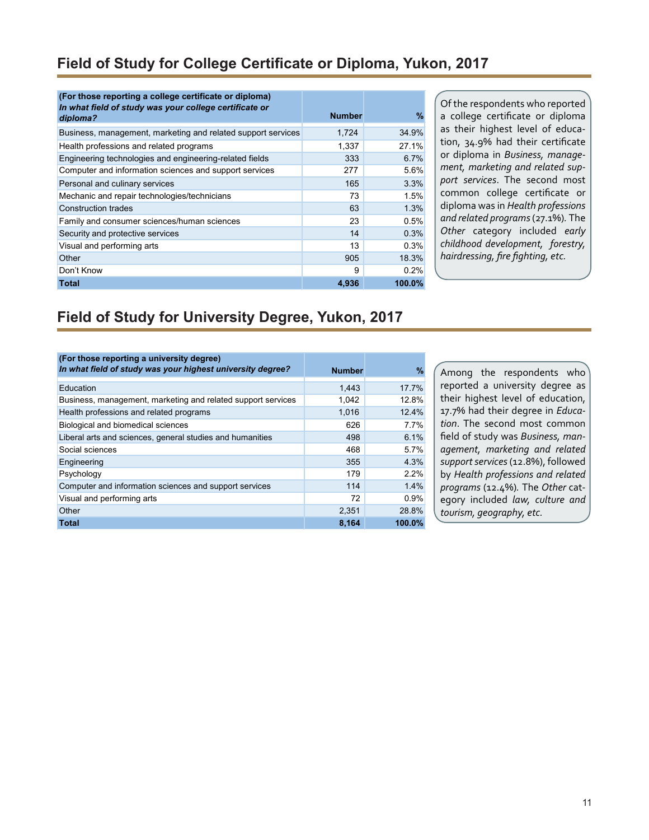### **Field of Study for College Certificate or Diploma, Yukon, 2017**

| (For those reporting a college certificate or diploma)<br>In what field of study was your college certificate or | <b>Number</b> | %      |
|------------------------------------------------------------------------------------------------------------------|---------------|--------|
| diploma?                                                                                                         |               |        |
| Business, management, marketing and related support services                                                     | 1,724         | 34.9%  |
| Health professions and related programs                                                                          | 1,337         | 27.1%  |
| Engineering technologies and engineering-related fields                                                          | 333           | 6.7%   |
| Computer and information sciences and support services                                                           | 277           | 5.6%   |
| Personal and culinary services                                                                                   | 165           | 3.3%   |
| Mechanic and repair technologies/technicians                                                                     | 73            | 1.5%   |
| <b>Construction trades</b>                                                                                       | 63            | 1.3%   |
| Family and consumer sciences/human sciences                                                                      | 23            | 0.5%   |
| Security and protective services                                                                                 | 14            | 0.3%   |
| Visual and performing arts                                                                                       | 13            | 0.3%   |
| Other                                                                                                            | 905           | 18.3%  |
| Don't Know                                                                                                       | 9             | 0.2%   |
| <b>Total</b>                                                                                                     | 4.936         | 100.0% |

Of the respondents who reported a college certificate or diploma as their highest level of education, 34.9% had their certificate or diploma in *Business, management, marketing and related support services*. The second most common college certificate or diploma was in *Health professions and related programs* (27.1%)*.* The *Other* category included *early childhood development, forestry, hairdressing, fire fighting, etc.*

## **Field of Study for University Degree, Yukon, 2017**

| (For those reporting a university degree)<br>In what field of study was your highest university degree? |               |        |
|---------------------------------------------------------------------------------------------------------|---------------|--------|
|                                                                                                         | <b>Number</b> | $\%$   |
| Education                                                                                               | 1.443         | 17.7%  |
| Business, management, marketing and related support services                                            | 1,042         | 12.8%  |
| Health professions and related programs                                                                 | 1,016         | 12.4%  |
| Biological and biomedical sciences                                                                      | 626           | 7.7%   |
| Liberal arts and sciences, general studies and humanities                                               | 498           | 6.1%   |
| Social sciences                                                                                         | 468           | 5.7%   |
| Engineering                                                                                             | 355           | 4.3%   |
| Psychology                                                                                              | 179           | 2.2%   |
| Computer and information sciences and support services                                                  | 114           | 1.4%   |
| Visual and performing arts                                                                              | 72            | 0.9%   |
| Other                                                                                                   | 2,351         | 28.8%  |
| <b>Total</b>                                                                                            | 8,164         | 100.0% |

Among the respondents who reported a university degree as their highest level of education, 17.7% had their degree in *Education*. The second most common field of study was *Business, management, marketing and related support services* (12.8%), followed by *Health professions and related programs* (12.4%)*.* The *Other* category included *law, culture and tourism, geography, etc.*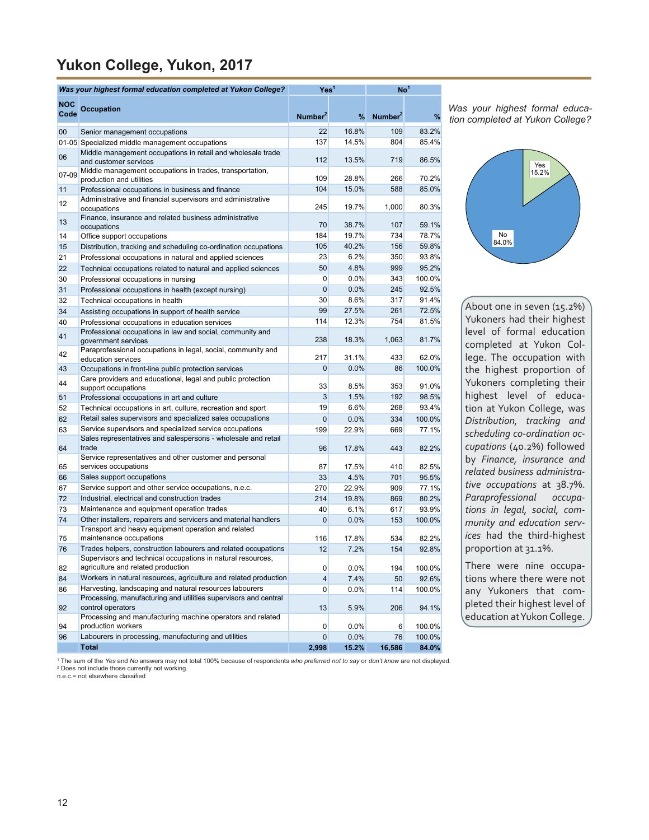## **Yukon College, Yukon, 2017**

|                    | Was your highest formal education completed at Yukon College?                                                            |                     | Yes'  |                     | No <sup>1</sup> |  |
|--------------------|--------------------------------------------------------------------------------------------------------------------------|---------------------|-------|---------------------|-----------------|--|
| <b>NOC</b><br>Code | <b>Occupation</b>                                                                                                        | Number <sup>2</sup> | %     | Number <sup>2</sup> | %               |  |
| $00\,$             | Senior management occupations                                                                                            | 22                  | 16.8% | 109                 | 83.2%           |  |
|                    | 01-05 Specialized middle management occupations                                                                          | 137                 | 14.5% | 804                 | 85.4%           |  |
| 06                 | Middle management occupations in retail and wholesale trade<br>and customer services                                     | 112                 | 13.5% | 719                 | 86.5%           |  |
| 07-09              | Middle management occupations in trades, transportation,<br>production and utilities                                     | 109                 | 28.8% | 266                 | 70.2%           |  |
| 11                 | Professional occupations in business and finance                                                                         | 104                 | 15.0% | 588                 | 85.0%           |  |
| 12                 | Administrative and financial supervisors and administrative<br>occupations                                               | 245                 | 19.7% | 1,000               | 80.3%           |  |
| 13                 | Finance, insurance and related business administrative<br>occupations                                                    | 70                  | 38.7% | 107                 | 59.1%           |  |
| 14                 | Office support occupations                                                                                               | 184                 | 19.7% | 734                 | 78.7%           |  |
| 15                 | Distribution, tracking and scheduling co-ordination occupations                                                          | 105                 | 40.2% | 156                 | 59.8%           |  |
| 21                 | Professional occupations in natural and applied sciences                                                                 | 23                  | 6.2%  | 350                 | 93.8%           |  |
| 22                 | Technical occupations related to natural and applied sciences                                                            | 50                  | 4.8%  | 999                 | 95.2%           |  |
| 30                 | Professional occupations in nursing                                                                                      | 0                   | 0.0%  | 343                 | 100.0%          |  |
| 31                 | Professional occupations in health (except nursing)                                                                      | 0                   | 0.0%  | 245                 | 92.5%           |  |
| 32                 | Technical occupations in health                                                                                          | 30                  | 8.6%  | 317                 | 91.4%           |  |
| 34                 | Assisting occupations in support of health service                                                                       | 99                  | 27.5% | 261                 | 72.5%           |  |
| 40                 | Professional occupations in education services<br>Professional occupations in law and social, community and              | 114                 | 12.3% | 754                 | 81.5%           |  |
| 41<br>42           | government services<br>Paraprofessional occupations in legal, social, community and                                      | 238                 | 18.3% | 1,063               | 81.7%           |  |
|                    | education services                                                                                                       | 217                 | 31.1% | 433                 | 62.0%           |  |
| 43                 | Occupations in front-line public protection services                                                                     | 0                   | 0.0%  | 86                  | 100.0%          |  |
| 44                 | Care providers and educational, legal and public protection<br>support occupations                                       | 33                  | 8.5%  | 353                 | 91.0%           |  |
| 51                 | Professional occupations in art and culture                                                                              | 3                   | 1.5%  | 192                 | 98.5%           |  |
| 52                 | Technical occupations in art, culture, recreation and sport                                                              | 19                  | 6.6%  | 268                 | 93.4%           |  |
| 62                 | Retail sales supervisors and specialized sales occupations                                                               | 0                   | 0.0%  | 334                 | 100.0%          |  |
| 63                 | Service supervisors and specialized service occupations<br>Sales representatives and salespersons - wholesale and retail | 199                 | 22.9% | 669                 | 77.1%           |  |
| 64                 | trade<br>Service representatives and other customer and personal                                                         | 96                  | 17.8% | 443                 | 82.2%           |  |
| 65                 | services occupations                                                                                                     | 87                  | 17.5% | 410                 | 82.5%           |  |
| 66                 | Sales support occupations                                                                                                | 33                  | 4.5%  | 701                 | 95.5%           |  |
| 67                 | Service support and other service occupations, n.e.c.                                                                    | 270                 | 22.9% | 909                 | 77.1%           |  |
| 72                 | Industrial, electrical and construction trades                                                                           | 214                 | 19.8% | 869                 | 80.2%           |  |
| 73                 | Maintenance and equipment operation trades                                                                               | 40                  | 6.1%  | 617                 | 93.9%           |  |
| 74                 | Other installers, repairers and servicers and material handlers<br>Transport and heavy equipment operation and related   | 0                   | 0.0%  | 153                 | 100.0%          |  |
| 75                 | maintenance occupations                                                                                                  | 116                 | 17.8% | 534                 | 82.2%           |  |
| 76                 | Trades helpers, construction labourers and related occupations                                                           | 12                  | 7.2%  | 154                 | 92.8%           |  |
| 82                 | Supervisors and technical occupations in natural resources.<br>agriculture and related production                        | 0                   | 0.0%  | 194                 | 100.0%          |  |
| 84                 | Workers in natural resources, agriculture and related production                                                         | 4                   | 7.4%  | 50                  | 92.6%           |  |
| 86                 | Harvesting, landscaping and natural resources labourers                                                                  | 0                   | 0.0%  | 114                 | 100.0%          |  |
| 92                 | Processing, manufacturing and utilities supervisors and central<br>control operators                                     | 13                  | 5.9%  | 206                 | 94.1%           |  |
| 94                 | Processing and manufacturing machine operators and related<br>production workers                                         | 0                   | 0.0%  | $6 \mid$            | 100.0%          |  |
| 96                 | Labourers in processing, manufacturing and utilities                                                                     | 0                   | 0.0%  | 76                  | 100.0%          |  |
|                    | <b>Total</b>                                                                                                             | 2,998               | 15.2% | 16,586              | 84.0%           |  |

*Was your highest formal education completed at Yukon College?*



About one in seven (15.2%) Yukoners had their highest level of formal education completed at Yukon College. The occupation with the highest proportion of Yukoners completing their highest level of education at Yukon College, was *Distribution, tracking and scheduling co-ordination occupations* (40.2%) followed by *Finance, insurance and related business administrative occupations* at 38.7%. *Paraprofessional occupations in legal, social, community and education services* had the third-highest proportion at 31.1%.

There were nine occupations where there were not any Yukoners that completed their highest level of education at Yukon College.

1 The sum of the *Yes* and *No* answers may not total 100% because of respondents *who preferred not to say* or *don't know* are not displayed. 2 Does not include those currently not working.

n.e.c.= not elsewhere classified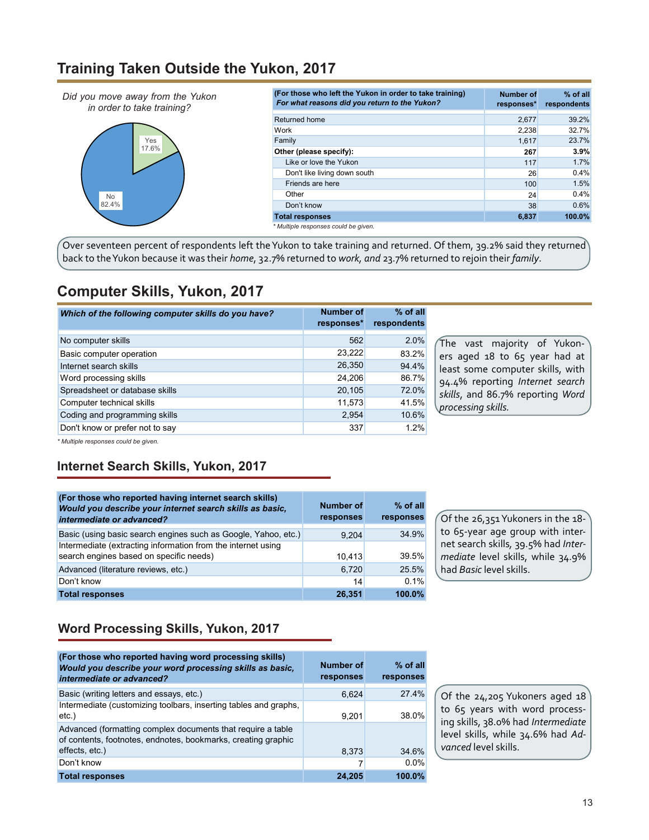### **Training Taken Outside the Yukon, 2017**



Over seventeen percent of respondents left the Yukon to take training and returned. Of them, 39.2% said they returned back to the Yukon because it was their *home*, 32.7% returned to *work, and* 23.7% returned to rejoin their *family*.

### **Computer Skills, Yukon, 2017**

| Which of the following computer skills do you have? | Number of<br>responses* | $%$ of all<br>respondents |
|-----------------------------------------------------|-------------------------|---------------------------|
| No computer skills                                  | 562                     | 2.0%                      |
| Basic computer operation                            | 23,222                  | 83.2%                     |
| Internet search skills                              | 26,350                  | 94.4%                     |
| Word processing skills                              | 24.206                  | 86.7%                     |
| Spreadsheet or database skills                      | 20,105                  | 72.0%                     |
| Computer technical skills                           | 11,573                  | 41.5%                     |
| Coding and programming skills                       | 2,954                   | 10.6%                     |
| Don't know or prefer not to say                     | 337                     | 1.2%                      |

The vast majority of Yukoners aged 18 to 65 year had at least some computer skills, with 94.4% reporting *Internet search skills*, and 86.7% reporting *Word processing skills.*

*\* Multiple responses could be given.*

### **Internet Search Skills, Yukon, 2017**

| (For those who reported having internet search skills)<br>Would you describe your internet search skills as basic,<br>intermediate or advanced? | <b>Number of</b><br>responses | $%$ of all<br>responses |
|-------------------------------------------------------------------------------------------------------------------------------------------------|-------------------------------|-------------------------|
| Basic (using basic search engines such as Google, Yahoo, etc.)                                                                                  | 9.204                         | 34.9%                   |
| Intermediate (extracting information from the internet using<br>search engines based on specific needs)                                         | 10.413                        | 39.5%                   |
| Advanced (literature reviews, etc.)                                                                                                             | 6.720                         | 25.5%                   |
| Don't know                                                                                                                                      | 14                            | 0.1%                    |
| <b>Total responses</b>                                                                                                                          | 26.351                        | 100.0%                  |

Of the 26,351 Yukoners in the 18 to 65-year age group with internet search skills*,* 39.5% had *Intermediate* level skills, while 34.9% had *Basic* level skills.

### **Word Processing Skills, Yukon, 2017**

| (For those who reported having word processing skills)<br>Would you describe your word processing skills as basic.<br>intermediate or advanced? | <b>Number of</b><br>responses | $%$ of all<br>responses |
|-------------------------------------------------------------------------------------------------------------------------------------------------|-------------------------------|-------------------------|
| Basic (writing letters and essays, etc.)                                                                                                        | 6.624                         | 27.4%                   |
| Intermediate (customizing toolbars, inserting tables and graphs,<br>$etc.$ )                                                                    | 9,201                         | 38.0%                   |
| Advanced (formatting complex documents that require a table<br>of contents, footnotes, endnotes, bookmarks, creating graphic                    |                               |                         |
| effects, etc.)                                                                                                                                  | 8.373                         | 34.6%                   |
| Don't know                                                                                                                                      |                               | $0.0\%$                 |
| <b>Total responses</b>                                                                                                                          | 24.205                        | 100.0%                  |

Of the 24,205 Yukoners aged 18 to 65 years with word processing skills, 38.0% had *Intermediate*  level skills, while 34.6% had *Advanced* level skills.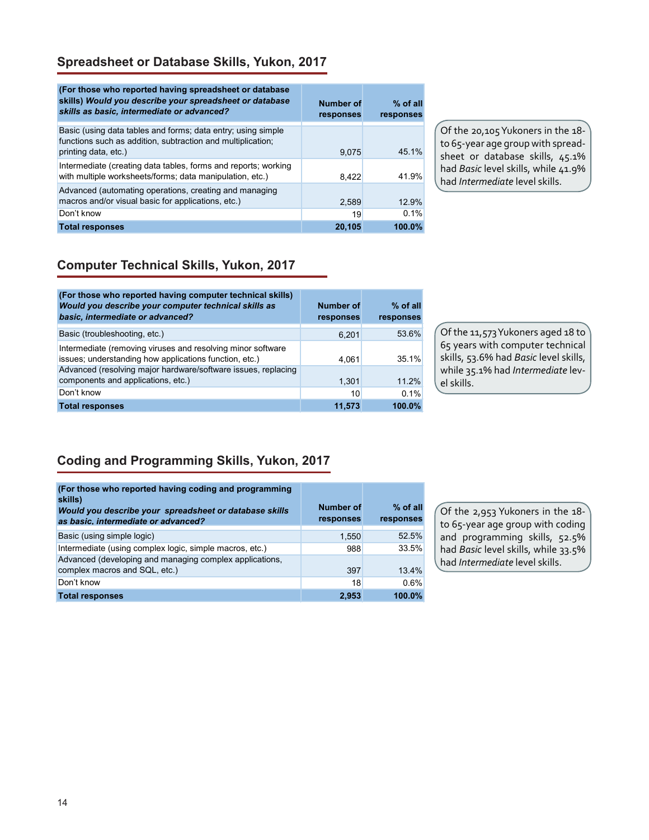### **Spreadsheet or Database Skills, Yukon, 2017**

| (For those who reported having spreadsheet or database)<br>skills) Would you describe your spreadsheet or database<br>skills as basic, intermediate or advanced? | Number of<br>responses | $%$ of all<br>responses |
|------------------------------------------------------------------------------------------------------------------------------------------------------------------|------------------------|-------------------------|
| Basic (using data tables and forms; data entry; using simple<br>functions such as addition, subtraction and multiplication;<br>printing data, etc.)              | 9.075                  | 45 1%                   |
| Intermediate (creating data tables, forms and reports; working<br>with multiple worksheets/forms; data manipulation, etc.)                                       | 8.422                  | 41.9%                   |
| Advanced (automating operations, creating and managing<br>macros and/or visual basic for applications, etc.)                                                     | 2,589                  | 12.9%                   |
| Don't know                                                                                                                                                       | 19                     | 0.1%                    |
| <b>Total responses</b>                                                                                                                                           | 20,105                 | 100.0%                  |

Of the 20,105 Yukoners in the 18 to 65-year age group with spreadsheet or database skills, 45.1% had *Basic* level skills, while 41.9% had *Intermediate* level skills.

### **Computer Technical Skills, Yukon, 2017**

| (For those who reported having computer technical skills)<br>Would you describe your computer technical skills as<br>basic, intermediate or advanced? | Number of<br>responses | $%$ of all<br>responses |
|-------------------------------------------------------------------------------------------------------------------------------------------------------|------------------------|-------------------------|
| Basic (troubleshooting, etc.)                                                                                                                         | 6.201                  | 53.6%                   |
| Intermediate (removing viruses and resolving minor software<br>issues; understanding how applications function, etc.)                                 | 4.061                  | $351\%$                 |
| Advanced (resolving major hardware/software issues, replacing<br>components and applications, etc.)                                                   | 1,301                  | 11.2%                   |
| Don't know                                                                                                                                            | 10                     | 0.1%                    |
| <b>Total responses</b>                                                                                                                                | 11,573                 | $100.0\%$               |

Of the 11,573 Yukoners aged 18 to 65 years with computer technical skills, 53.6% had *Basic* level skills, while 35.1% had *Intermediate* level skills.

### **Coding and Programming Skills, Yukon, 2017**

| (For those who reported having coding and programming<br>skills) |                        |                         |
|------------------------------------------------------------------|------------------------|-------------------------|
| Would you describe your spreadsheet or database skills           | Number of<br>responses | $%$ of all<br>responses |
| as basic, intermediate or advanced?                              |                        |                         |
| Basic (using simple logic)                                       | 1,550                  | 52.5%                   |
| Intermediate (using complex logic, simple macros, etc.)          | 988                    | 33.5%                   |
| Advanced (developing and managing complex applications,          |                        |                         |
| complex macros and SQL, etc.)                                    | 397                    | 13.4%                   |
| Don't know                                                       | 18                     | 0.6%                    |
| <b>Total responses</b>                                           | 2,953                  | 100.0%                  |

Of the 2,953 Yukoners in the 18 to 65-year age group with coding and programming skills, 52.5% had *Basic* level skills, while 33.5% had *Intermediate* level skills.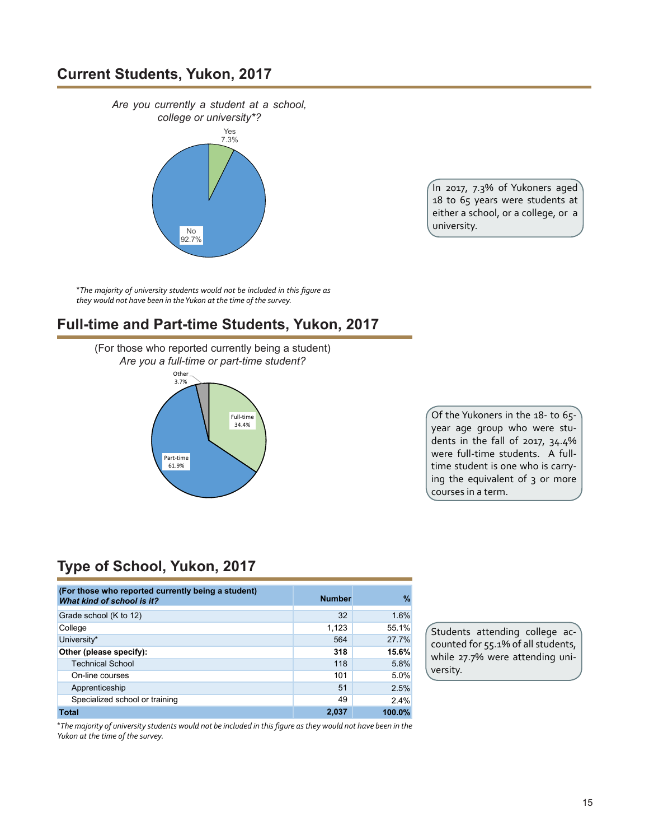### **Current Students, Yukon, 2017**



In 2017, 7.3% of Yukoners aged 18 to 65 years were students at either a school, or a college, or a university.

\**The majority of university students would not be included in this figure as they would not have been in the Yukon at the time of the survey.*

### **Full-time and Part-time Students, Yukon, 2017**

(For those who reported currently being a student) *Are you a full-time or part-time student?*



Of the Yukoners in the 18- to 65 year age group who were students in the fall of 2017, 34.4% were full-time students. A fulltime student is one who is carrying the equivalent of 3 or more courses in a term.

# **Type of School, Yukon, 2017**

| (For those who reported currently being a student)<br>What kind of school is it? | <b>Number</b> | %      |
|----------------------------------------------------------------------------------|---------------|--------|
| Grade school (K to 12)                                                           | 32            | 1.6%   |
| College                                                                          | 1,123         | 55.1%  |
| University*                                                                      | 564           | 27.7%  |
| Other (please specify):                                                          | 318           | 15.6%  |
| <b>Technical School</b>                                                          | 118           | 5.8%   |
| On-line courses                                                                  | 101           | 5.0%   |
| Apprenticeship                                                                   | 51            | 2.5%   |
| Specialized school or training                                                   | 49            | 2.4%   |
| <b>Total</b>                                                                     | 2,037         | 100.0% |

Students attending college accounted for 55.1% of all students, while 27.7% were attending university.

\*The majority of university students would not be included in this figure as they would not have been in the *Yukon at the time of the survey.*